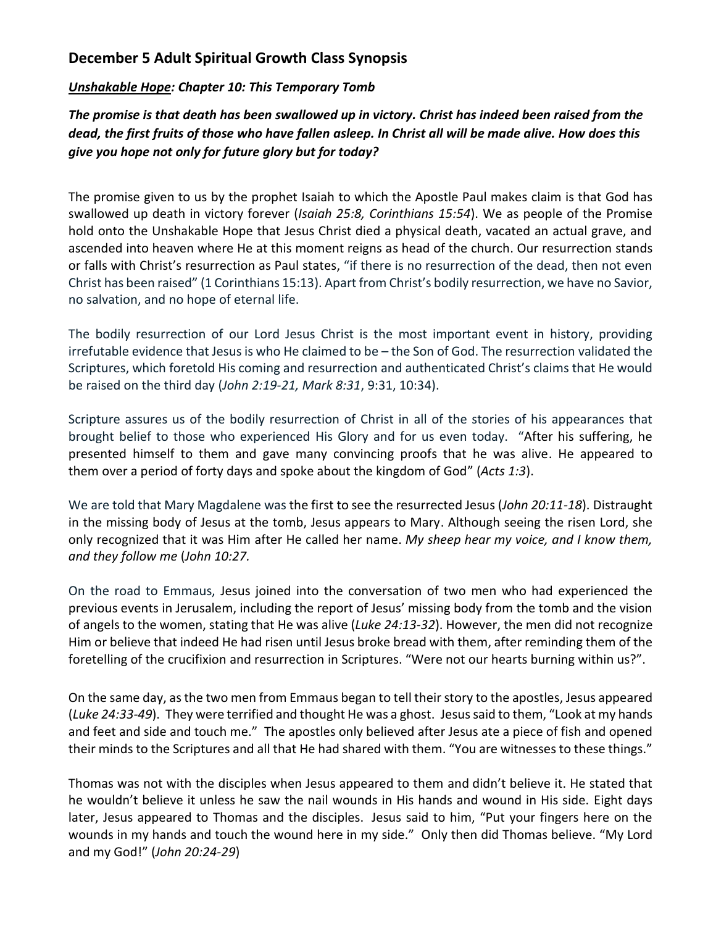## **December 5 Adult Spiritual Growth Class Synopsis**

## *Unshakable Hope: Chapter 10: This Temporary Tomb*

*The promise is that death has been swallowed up in victory. Christ has indeed been raised from the dead, the first fruits of those who have fallen asleep. In Christ all will be made alive. How does this give you hope not only for future glory but for today?*

The promise given to us by the prophet Isaiah to which the Apostle Paul makes claim is that God has swallowed up death in victory forever (*Isaiah 25:8, Corinthians 15:54*). We as people of the Promise hold onto the Unshakable Hope that Jesus Christ died a physical death, vacated an actual grave, and ascended into heaven where He at this moment reigns as head of the church. Our resurrection stands or falls with Christ's resurrection as Paul states, "if there is no resurrection of the dead, then not even Christ has been raised" (1 Corinthians 15:13). Apart from Christ's bodily resurrection, we have no Savior, no salvation, and no hope of eternal life.

The bodily resurrection of our Lord Jesus Christ is the most important event in history, providing irrefutable evidence that Jesus is who He claimed to be – the Son of God. The resurrection validated the Scriptures, which foretold His coming and resurrection and authenticated Christ's claims that He would be raised on the third day (*John 2:19-21, Mark 8:31*, 9:31, 10:34).

Scripture assures us of the bodily resurrection of Christ in all of the stories of his appearances that brought belief to those who experienced His Glory and for us even today. "After his suffering, he presented himself to them and gave many convincing proofs that he was alive. He appeared to them over a period of forty days and spoke about the kingdom of God" (*Acts 1:3*).

We are told that Mary Magdalene was the first to see the resurrected Jesus (*John 20:11-18*). Distraught in the missing body of Jesus at the tomb, Jesus appears to Mary. Although seeing the risen Lord, she only recognized that it was Him after He called her name. *My sheep hear my voice, and I know them, and they follow me* (*John 10:27.* 

On the road to Emmaus, Jesus joined into the conversation of two men who had experienced the previous events in Jerusalem, including the report of Jesus' missing body from the tomb and the vision of angels to the women, stating that He was alive (*Luke 24:13-32*). However, the men did not recognize Him or believe that indeed He had risen until Jesus broke bread with them, after reminding them of the foretelling of the crucifixion and resurrection in Scriptures. "Were not our hearts burning within us?".

On the same day, as the two men from Emmaus began to tell their story to the apostles, Jesus appeared (*Luke 24:33-49*). They were terrified and thought He was a ghost. Jesus said to them, "Look at my hands and feet and side and touch me." The apostles only believed after Jesus ate a piece of fish and opened their minds to the Scriptures and all that He had shared with them. "You are witnesses to these things."

Thomas was not with the disciples when Jesus appeared to them and didn't believe it. He stated that he wouldn't believe it unless he saw the nail wounds in His hands and wound in His side. Eight days later, Jesus appeared to Thomas and the disciples. Jesus said to him, "Put your fingers here on the wounds in my hands and touch the wound here in my side." Only then did Thomas believe. "My Lord and my God!" (*John 20:24-29*)